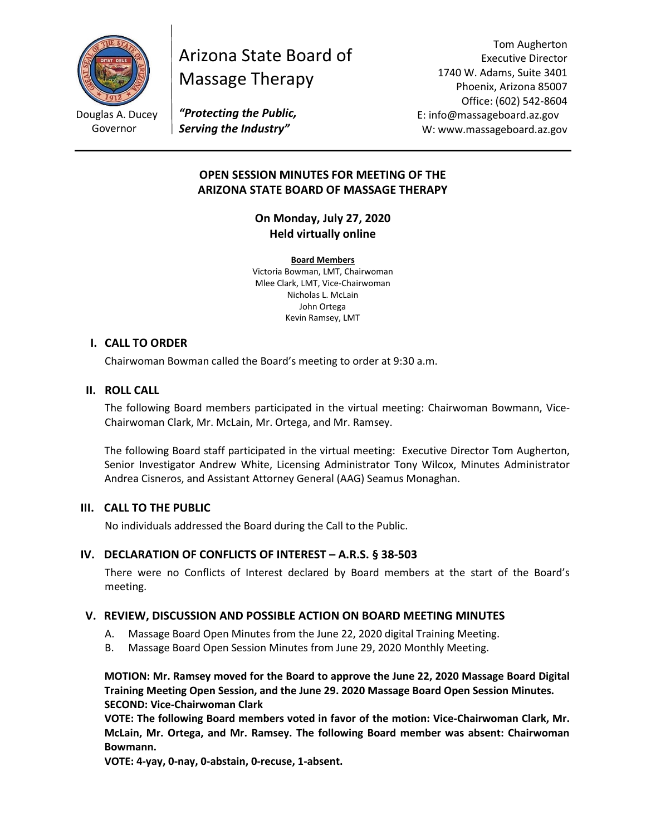

Governor

# Arizona State Board of Massage Therapy

Tom Augherton Executive Director 1740 W. Adams, Suite 3401 Phoenix, Arizona 85007 Office: (602) 542-8604 E: info@massageboard.az.gov W: www.massageboard.az.gov

*"Protecting the Public, Serving the Industry"*

## **OPEN SESSION MINUTES FOR MEETING OF THE ARIZONA STATE BOARD OF MASSAGE THERAPY**

**On Monday, July 27, 2020 Held virtually online**

**Board Members** Victoria Bowman, LMT, Chairwoman Mlee Clark, LMT, Vice-Chairwoman Nicholas L. McLain John Ortega Kevin Ramsey, LMT

#### **I. CALL TO ORDER**

Chairwoman Bowman called the Board's meeting to order at 9:30 a.m.

## **II. ROLL CALL**

The following Board members participated in the virtual meeting: Chairwoman Bowmann, Vice-Chairwoman Clark, Mr. McLain, Mr. Ortega, and Mr. Ramsey.

The following Board staff participated in the virtual meeting: Executive Director Tom Augherton, Senior Investigator Andrew White, Licensing Administrator Tony Wilcox, Minutes Administrator Andrea Cisneros, and Assistant Attorney General (AAG) Seamus Monaghan.

#### **III. CALL TO THE PUBLIC**

No individuals addressed the Board during the Call to the Public.

## **IV. DECLARATION OF CONFLICTS OF INTEREST – A.R.S. § 38-503**

There were no Conflicts of Interest declared by Board members at the start of the Board's meeting.

#### **V. REVIEW, DISCUSSION AND POSSIBLE ACTION ON BOARD MEETING MINUTES**

- A. Massage Board Open Minutes from the June 22, 2020 digital Training Meeting.
- B. Massage Board Open Session Minutes from June 29, 2020 Monthly Meeting.

**MOTION: Mr. Ramsey moved for the Board to approve the June 22, 2020 Massage Board Digital Training Meeting Open Session, and the June 29. 2020 Massage Board Open Session Minutes. SECOND: Vice-Chairwoman Clark** 

**VOTE: The following Board members voted in favor of the motion: Vice-Chairwoman Clark, Mr. McLain, Mr. Ortega, and Mr. Ramsey. The following Board member was absent: Chairwoman Bowmann.** 

**VOTE: 4-yay, 0-nay, 0-abstain, 0-recuse, 1-absent.**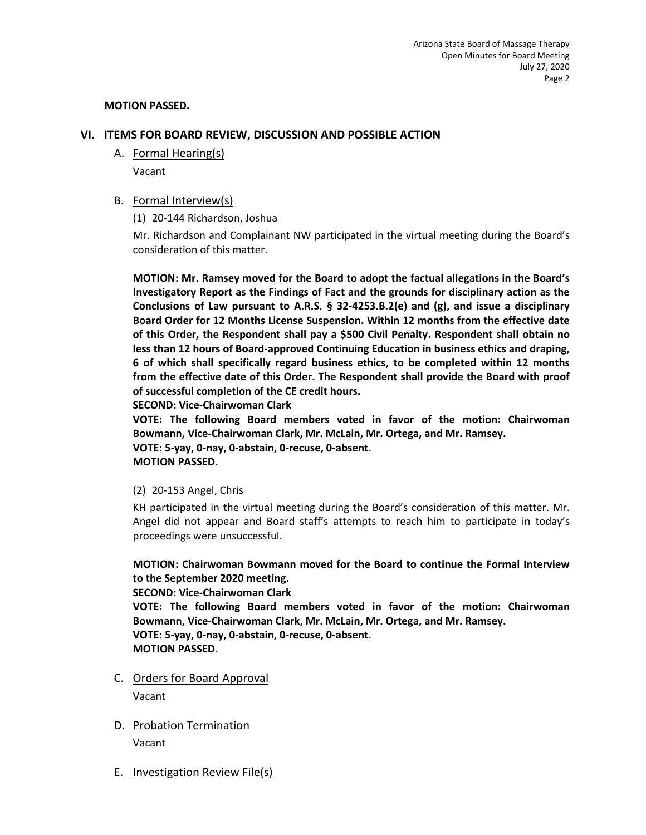#### **MOTION PASSED.**

## **VI. ITEMS FOR BOARD REVIEW, DISCUSSION AND POSSIBLE ACTION**

A. Formal Hearing(s)

Vacant

B. Formal Interview(s)

(1) 20-144 Richardson, Joshua

Mr. Richardson and Complainant NW participated in the virtual meeting during the Board's consideration of this matter.

**MOTION: Mr. Ramsey moved for the Board to adopt the factual allegations in the Board's Investigatory Report as the Findings of Fact and the grounds for disciplinary action as the Conclusions of Law pursuant to A.R.S. § 32-4253.B.2(e) and (g), and issue a disciplinary Board Order for 12 Months License Suspension. Within 12 months from the effective date of this Order, the Respondent shall pay a \$500 Civil Penalty. Respondent shall obtain no less than 12 hours of Board-approved Continuing Education in business ethics and draping, 6 of which shall specifically regard business ethics, to be completed within 12 months from the effective date of this Order. The Respondent shall provide the Board with proof of successful completion of the CE credit hours.** 

**SECOND: Vice-Chairwoman Clark** 

**VOTE: The following Board members voted in favor of the motion: Chairwoman Bowmann, Vice-Chairwoman Clark, Mr. McLain, Mr. Ortega, and Mr. Ramsey. VOTE: 5-yay, 0-nay, 0-abstain, 0-recuse, 0-absent.** 

#### **MOTION PASSED.**

(2) 20-153 Angel, Chris

KH participated in the virtual meeting during the Board's consideration of this matter. Mr. Angel did not appear and Board staff's attempts to reach him to participate in today's proceedings were unsuccessful.

## **MOTION: Chairwoman Bowmann moved for the Board to continue the Formal Interview to the September 2020 meeting.**

**SECOND: Vice-Chairwoman Clark** 

**VOTE: The following Board members voted in favor of the motion: Chairwoman Bowmann, Vice-Chairwoman Clark, Mr. McLain, Mr. Ortega, and Mr. Ramsey. VOTE: 5-yay, 0-nay, 0-abstain, 0-recuse, 0-absent. MOTION PASSED.** 

- C. Orders for Board Approval Vacant
- D. Probation Termination

Vacant

E. Investigation Review File(s)